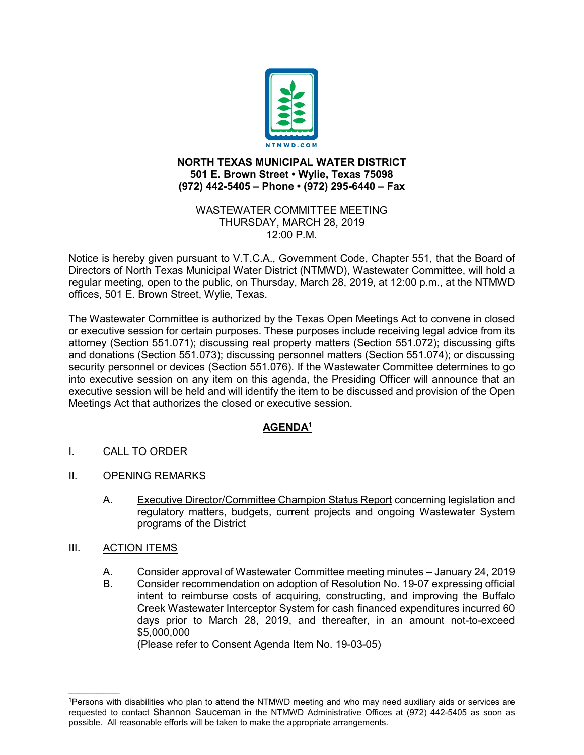

## **NORTH TEXAS MUNICIPAL WATER DISTRICT 501 E. Brown Street • Wylie, Texas 75098 (972) 442-5405 – Phone • (972) 295-6440 – Fax**

## WASTEWATER COMMITTEE MEETING THURSDAY, MARCH 28, 2019 12:00 P.M.

Notice is hereby given pursuant to V.T.C.A., Government Code, Chapter 551, that the Board of Directors of North Texas Municipal Water District (NTMWD), Wastewater Committee, will hold a regular meeting, open to the public, on Thursday, March 28, 2019, at 12:00 p.m., at the NTMWD offices, 501 E. Brown Street, Wylie, Texas.

The Wastewater Committee is authorized by the Texas Open Meetings Act to convene in closed or executive session for certain purposes. These purposes include receiving legal advice from its attorney (Section 551.071); discussing real property matters (Section 551.072); discussing gifts and donations (Section 551.073); discussing personnel matters (Section 551.074); or discussing security personnel or devices (Section 551.076). If the Wastewater Committee determines to go into executive session on any item on this agenda, the Presiding Officer will announce that an executive session will be held and will identify the item to be discussed and provision of the Open Meetings Act that authorizes the closed or executive session.

## **AGENDA1**

- I. CALL TO ORDER
- II. OPENING REMARKS
	- A. Executive Director/Committee Champion Status Report concerning legislation and regulatory matters, budgets, current projects and ongoing Wastewater System programs of the District
- III. ACTION ITEMS

\_\_\_\_\_\_\_\_\_\_\_\_\_\_\_\_

- A. Consider approval of Wastewater Committee meeting minutes January 24, 2019
- B. Consider recommendation on adoption of Resolution No. 19-07 expressing official intent to reimburse costs of acquiring, constructing, and improving the Buffalo Creek Wastewater Interceptor System for cash financed expenditures incurred 60 days prior to March 28, 2019, and thereafter, in an amount not-to-exceed \$5,000,000

(Please refer to Consent Agenda Item No. 19-03-05)

<sup>1</sup>Persons with disabilities who plan to attend the NTMWD meeting and who may need auxiliary aids or services are requested to contact Shannon Sauceman in the NTMWD Administrative Offices at (972) 442-5405 as soon as possible. All reasonable efforts will be taken to make the appropriate arrangements.